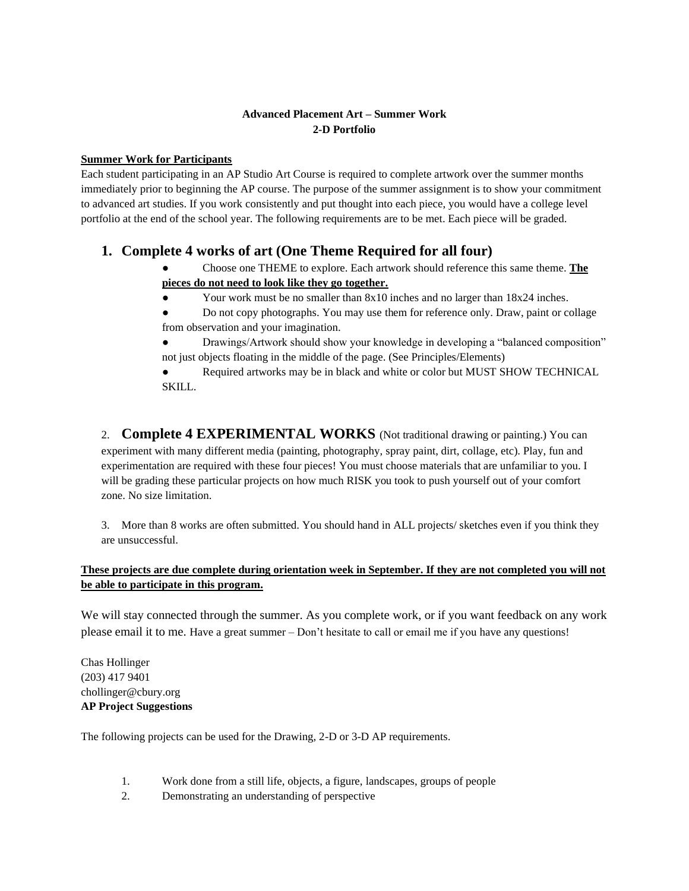## **Advanced Placement Art – Summer Work 2-D Portfolio**

### **Summer Work for Participants**

Each student participating in an AP Studio Art Course is required to complete artwork over the summer months immediately prior to beginning the AP course. The purpose of the summer assignment is to show your commitment to advanced art studies. If you work consistently and put thought into each piece, you would have a college level portfolio at the end of the school year. The following requirements are to be met. Each piece will be graded.

# **1. Complete 4 works of art (One Theme Required for all four)**

- Choose one THEME to explore. Each artwork should reference this same theme. **The pieces do not need to look like they go together.**
- Your work must be no smaller than 8x10 inches and no larger than 18x24 inches.
- Do not copy photographs. You may use them for reference only. Draw, paint or collage from observation and your imagination.
- Drawings/Artwork should show your knowledge in developing a "balanced composition" not just objects floating in the middle of the page. (See Principles/Elements)

Required artworks may be in black and white or color but MUST SHOW TECHNICAL SKILL.

2. **Complete 4 EXPERIMENTAL WORKS** (Not traditional drawing or painting.) You can experiment with many different media (painting, photography, spray paint, dirt, collage, etc). Play, fun and experimentation are required with these four pieces! You must choose materials that are unfamiliar to you. I will be grading these particular projects on how much RISK you took to push yourself out of your comfort zone. No size limitation.

3. More than 8 works are often submitted. You should hand in ALL projects/ sketches even if you think they are unsuccessful.

# **These projects are due complete during orientation week in September. If they are not completed you will not be able to participate in this program.**

We will stay connected through the summer. As you complete work, or if you want feedback on any work please email it to me. Have a great summer – Don't hesitate to call or email me if you have any questions!

Chas Hollinger (203) 417 9401 chollinger@cbury.org **AP Project Suggestions**

The following projects can be used for the Drawing, 2-D or 3-D AP requirements.

- 1. Work done from a still life, objects, a figure, landscapes, groups of people
- 2. Demonstrating an understanding of perspective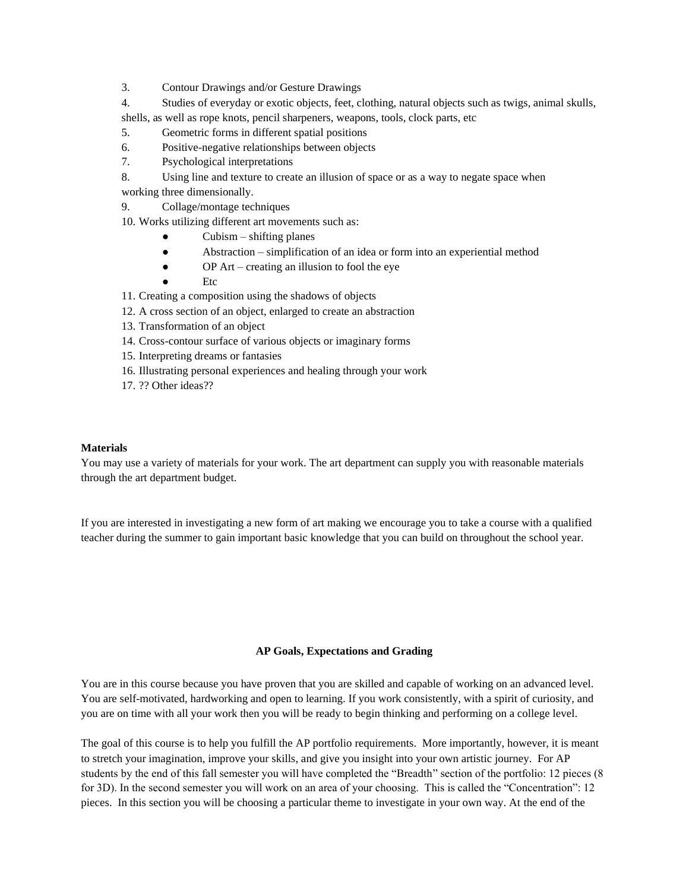- 3. Contour Drawings and/or Gesture Drawings
- 4. Studies of everyday or exotic objects, feet, clothing, natural objects such as twigs, animal skulls, shells, as well as rope knots, pencil sharpeners, weapons, tools, clock parts, etc
- 5. Geometric forms in different spatial positions
- 6. Positive-negative relationships between objects
- 7. Psychological interpretations
- 8. Using line and texture to create an illusion of space or as a way to negate space when working three dimensionally.
- 9. Collage/montage techniques
- 10. Works utilizing different art movements such as:
	- $Cubism shifting planes$
	- Abstraction simplification of an idea or form into an experiential method
	- OP Art creating an illusion to fool the eye
	- **Etc**
- 11. Creating a composition using the shadows of objects
- 12. A cross section of an object, enlarged to create an abstraction
- 13. Transformation of an object
- 14. Cross-contour surface of various objects or imaginary forms
- 15. Interpreting dreams or fantasies
- 16. Illustrating personal experiences and healing through your work
- 17. ?? Other ideas??

#### **Materials**

You may use a variety of materials for your work. The art department can supply you with reasonable materials through the art department budget.

If you are interested in investigating a new form of art making we encourage you to take a course with a qualified teacher during the summer to gain important basic knowledge that you can build on throughout the school year.

#### **AP Goals, Expectations and Grading**

You are in this course because you have proven that you are skilled and capable of working on an advanced level. You are self-motivated, hardworking and open to learning. If you work consistently, with a spirit of curiosity, and you are on time with all your work then you will be ready to begin thinking and performing on a college level.

The goal of this course is to help you fulfill the AP portfolio requirements. More importantly, however, it is meant to stretch your imagination, improve your skills, and give you insight into your own artistic journey. For AP students by the end of this fall semester you will have completed the "Breadth" section of the portfolio: 12 pieces (8 for 3D). In the second semester you will work on an area of your choosing. This is called the "Concentration": 12 pieces. In this section you will be choosing a particular theme to investigate in your own way. At the end of the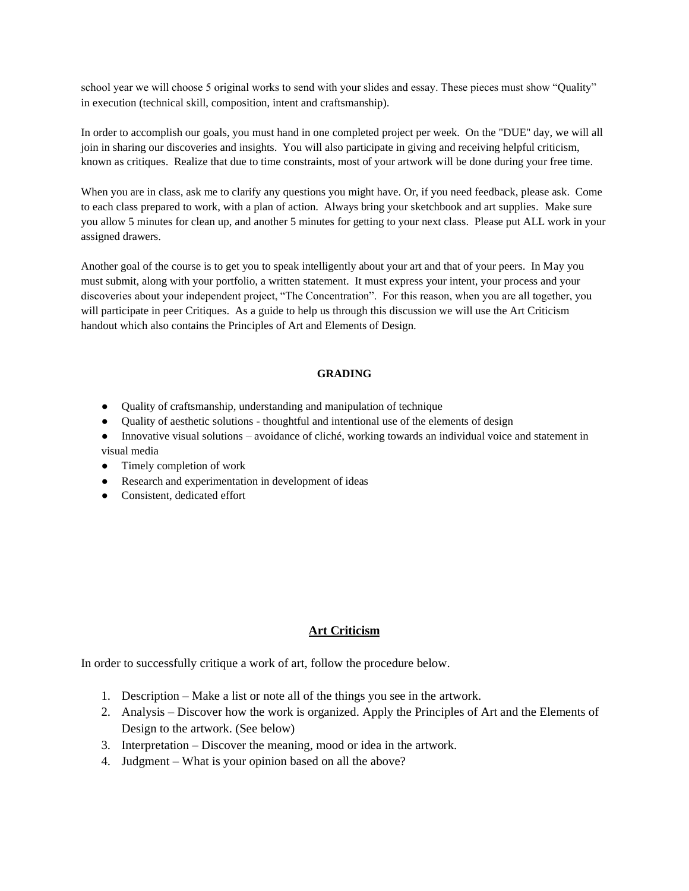school year we will choose 5 original works to send with your slides and essay. These pieces must show "Quality" in execution (technical skill, composition, intent and craftsmanship).

In order to accomplish our goals, you must hand in one completed project per week. On the "DUE" day, we will all join in sharing our discoveries and insights. You will also participate in giving and receiving helpful criticism, known as critiques. Realize that due to time constraints, most of your artwork will be done during your free time.

When you are in class, ask me to clarify any questions you might have. Or, if you need feedback, please ask. Come to each class prepared to work, with a plan of action. Always bring your sketchbook and art supplies. Make sure you allow 5 minutes for clean up, and another 5 minutes for getting to your next class. Please put ALL work in your assigned drawers.

Another goal of the course is to get you to speak intelligently about your art and that of your peers. In May you must submit, along with your portfolio, a written statement. It must express your intent, your process and your discoveries about your independent project, "The Concentration". For this reason, when you are all together, you will participate in peer Critiques. As a guide to help us through this discussion we will use the Art Criticism handout which also contains the Principles of Art and Elements of Design.

#### **GRADING**

- Quality of craftsmanship, understanding and manipulation of technique
- Quality of aesthetic solutions thoughtful and intentional use of the elements of design
- Innovative visual solutions avoidance of cliché, working towards an individual voice and statement in visual media
- Timely completion of work
- Research and experimentation in development of ideas
- Consistent, dedicated effort

# **Art Criticism**

In order to successfully critique a work of art, follow the procedure below.

- 1. Description Make a list or note all of the things you see in the artwork.
- 2. Analysis Discover how the work is organized. Apply the Principles of Art and the Elements of Design to the artwork. (See below)
- 3. Interpretation Discover the meaning, mood or idea in the artwork.
- 4. Judgment What is your opinion based on all the above?